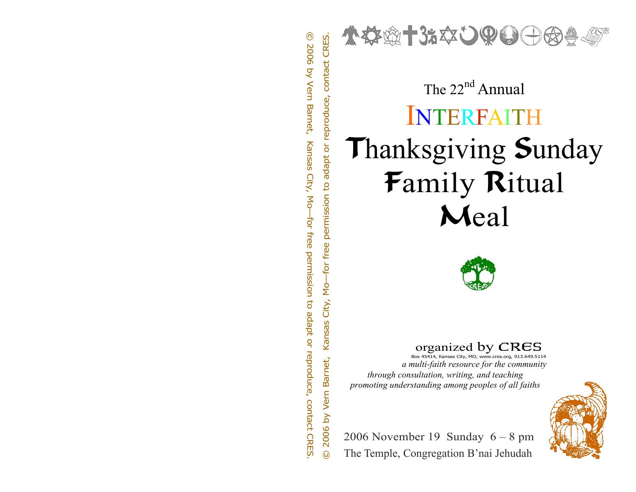

# $\sum_{\substack{8 \text{ odd} \\ \text{ odd} \\ \text{ odd}}}$   $\sum_{\substack{8 \text{ odd} \\ \text{ odd} \\ \text{ odd}}}$   $\sum_{\substack{8 \text{ odd} \\ \text{ odd} \\ \text{ odd}}}$   $\sum_{\substack{8 \text{ odd} \\ \text{ odd} \\ \text{ odd}}}$   $\sum_{\substack{8 \text{ odd} \\ \text{ odd} \\ \text{ odd} \\ \text{ odd}}}$   $\sum_{\substack{8 \text{ odd} \\ \text{ odd} \\ \text{ odd} \\ \text{ odd} \\ \text{ odd} \\ \text{ odd} \\ \text{ odd} \\ \text{ odd} \\ \text{ odd} \\ \text{ odd} \\ \text{ odd} \\$ INTERFAITHThanksgiving Sunday Family Ritual Meal



 $\arganized$  by  $CRES$  Box 45414, Kansas City, MO, www.cres.org, 913.649.5114

*a multi-faith resource for the community through consultation, writing, and teaching promoting understanding among peoples of all faiths* 



2006 November 19 Sunday 6 – 8 pm The Temple, Congregation B'nai Jehudah

© 2006 by Vern Barnet, Kansas City, Mo—for free permission to adapt or reproduce, contact CRES.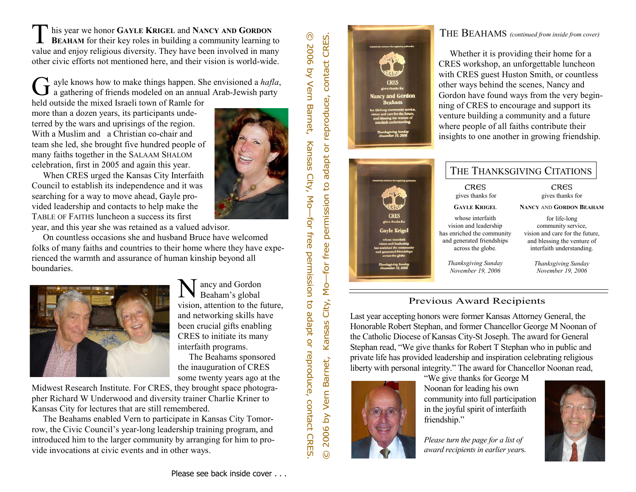**GAYLE KRIGEL** and **NANCY AND GORDON EXTERGE ARRAM** for their key roles in building a community learning to value and enjoy religious diversity. They have been involved in many other civic efforts not mentioned here, and their vision is world-wide.

ayle knows how to make things happen. She envisioned a *hafla*, a gathering of friends modeled on an annual Arab-Jewish party

held outside the mixed Israeli town of Ramle for more than a dozen years, its participants undeterred by the wars and uprisings of the region. With a Muslim and a Christian co-chair and team she led, she brought five hundred people of many faiths together in the SALAAM SHALOM celebration, first in 2005 and again this year.

 When CRES urged the Kansas City Interfaith Council to establish its independence and it was searching for a way to move ahead, Gayle provided leadership and contacts to help make the TABLE OF FAITHS luncheon a success its first year, and this year she was retained as a valued advisor.

 On countless occasions she and husband Bruce have welcomed folks of many faiths and countries to their home where they have experienced the warmth and assurance of human kinship beyond all boundaries.



ancy and Gordon<br>Beaham's global vision, attention to the future, and networking skills have been crucial gifts enabling CRES to initiate its many interfaith programs. The Beahams sponsored the inauguration of CRES

some twenty years ago at the Midwest Research Institute. For CRES, they brought space photographer Richard W Underwood and diversity trainer Charlie Kriner to Kansas City for lectures that are still remembered.

 The Beahams enabled Vern to participate in Kansas City Tomorrow, the Civic Council's year-long leadership training program, and introduced him to the larger community by arranging for him to provide invocations at civic events and in other ways.

# © 2006 by Vern Barnet, Kansas City, Mo—for free permission to adapt or reproduce, contact CRES.



# THE BEAHAMS *(continued from inside from cover)*

 Whether it is providing their home for a CRES workshop, an unforgettable luncheon with CRES guest Huston Smith, or countless other ways behind the scenes, Nancy and Gordon have found ways from the very beginning of CRES to encourage and support its venture building a community and a future where people of all faiths contribute their insights to one another in growing friendship.

|                                                                                                                           | THE THANKSGIVING CITATIONS                     |                                                          |
|---------------------------------------------------------------------------------------------------------------------------|------------------------------------------------|----------------------------------------------------------|
| cases for engineering rolet                                                                                               | CRES<br>gives thanks for                       | CRES<br>gives thanks for                                 |
|                                                                                                                           | <b>GAYLE KRIGEL</b>                            | <b>NANCY AND GORDON BEAHAM</b>                           |
| <b>CRES</b><br>gives thanks for                                                                                           | whose interfaith<br>vision and leadership      | for life-long<br>community service,                      |
| <b>Gayle Krigel</b>                                                                                                       | has enriched the community                     | vision and care for the future.                          |
| whose interfaith<br>vision and leadership<br>has enriched the community<br>and generated friendships<br>across the globe. | and generated friendships<br>across the globe. | and blessing the venture of<br>interfaith understanding. |
| Thanksgiving Sunday<br><b>November 19.</b>                                                                                | Thanksgiving Sunday<br>November 19, 2006       | Thanksgiving Sunday<br>November 19, 2006                 |

# Previous Award Recipients



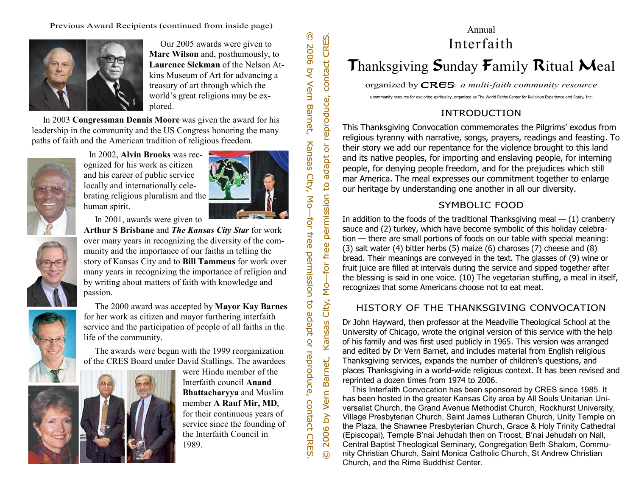Previous Award Recipients (continued from inside page)



 Our 2005 awards were given to **Marc Wilson** and, posthumously, to **Laurence Sickman** of the Nelson Atkins Museum of Art for advancing a treasury of art through which the world's great religions may be explored.

 In 2003 **Congressman Dennis Moore** was given the award for his leadership in the community and the US Congress honoring the many paths of faith and the American tradition of religious freedom.



 In 2002, **Alvin Brooks** was recognized for his work as citizen and his career of public service locally and internationally celebrating religious pluralism and the human spirit.

In 2001, awards were given to

**Arthur S Brisbane** and *The Kansas City Star* for work over many years in recognizing the diversity of the community and the importance of our faiths in telling the story of Kansas City and to **Bill Tammeus** for work over many years in recognizing the importance of religion and by writing about matters of faith with knowledge and passion.



 The 2000 award was accepted by **Mayor Kay Barnes**  for her work as citizen and mayor furthering interfaith service and the participation of people of all faiths in the life of the community.

 The awards were begun with the 1999 reorganization of the CRES Board under David Stallings. The awardees



were Hindu member of the Interfaith council **Anand Bhattacharyya** and Muslim member **A Rauf Mir, MD**, for their continuous years of service since the founding of the Interfaith Council in 1989.

© 2006 by Vern Barnet, Kansas City, Mo—for free permission to adapt or reproduce, contact CRES.

# Thanksgiving Sunday Family Ritual Meal

organized byCRES: *a multi-faith community resource* 

a community resource for exploring spirituality, organized as The World Faiths Center for Religious Experience and Study, Inc.

# INTRODUCTION

This Thanksgiving Convocation commemorates the Pilgrims' exodus from religious tyranny with narrative, songs, prayers, readings and feasting. To their story we add our repentance for the violence brought to this land and its native peoples, for importing and enslaving people, for interning people, for denying people freedom, and for the prejudices which still mar America. The meal expresses our commitment together to enlarge our heritage by understanding one another in all our diversity.

# SYMBOLIC FOOD

In addition to the foods of the traditional Thanksgiving meal  $-$  (1) cranberry sauce and (2) turkey, which have become symbolic of this holiday celebration — there are small portions of foods on our table with special meaning: (3) salt water (4) bitter herbs (5) maize (6) charoses (7) cheese and (8) bread. Their meanings are conveyed in the text. The glasses of (9) wine or fruit juice are filled at intervals during the service and sipped together after the blessing is said in one voice. (10) The vegetarian stuffing, a meal in itself, recognizes that some Americans choose not to eat meat.

# HISTORY OF THE THANKSGIVING CONVOCATION

Dr John Hayward, then professor at the Meadville Theological School at the University of Chicago, wrote the original version of this service with the help of his family and was first used publicly in 1965. This version was arranged and edited by Dr Vern Barnet, and includes material from English religious Thanksgiving services, expands the number of children's questions, and places Thanksgiving in a world-wide religious context. It has been revised and reprinted a dozen times from 1974 to 2006.

Annual Interfaith<br>  $\frac{1}{200}$ <br>  $\frac{1}{200}$ <br>  $\frac{1}{200}$ <br>  $\frac{1}{200}$ <br>  $\frac{1}{200}$ <br>
This Thanksgiving Convocation commemorates<br>
religious tyranny with narrative, some interval interval interval interval interval interval This Interfaith Convocation has been sponsored by CRES since 1985. It has been hosted in the greater Kansas City area by All Souls Unitarian Universalist Church, the Grand Avenue Methodist Church, Rockhurst University, Village Presbyterian Church, Saint James Lutheran Church, Unity Temple on the Plaza, the Shawnee Presbyterian Church, Grace & Holy Trinity Cathedral (Episcopal), Temple B'nai Jehudah then on Troost, B'nai Jehudah on Nall, Central Baptist Theological Seminary, Congregation Beth Shalom, Community Christian Church, Saint Monica Catholic Church, St Andrew Christian Church, and the Rime Buddhist Center.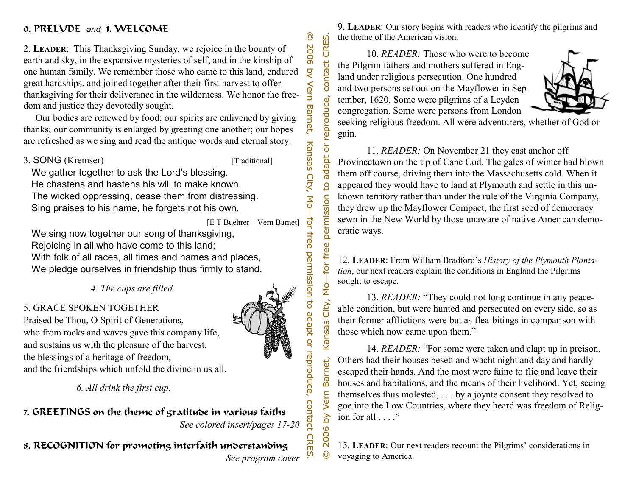# 0. PRELUDE *and* 1. WELCOME

2. **LEADER**: This Thanksgiving Sunday, we rejoice in the bounty of earth and sky, in the expansive mysteries of self, and in the kinship of one human family. We remember those who came to this land, endured great hardships, and joined together after their first harvest to offer thanksgiving for their deliverance in the wilderness. We honor the freedom and justice they devotedly sought.

 Our bodies are renewed by food; our spirits are enlivened by giving thanks; our community is enlarged by greeting one another; our hopes are refreshed as we sing and read the antique words and eternal story.

3. SONG (Kremser) [Traditional]

 $\odot$ 

2006

 $\overline{Q}$ 

Vern

Barnet,

Kansas City, Mo

CRES.

contact

adapt or reproduce,

 $\overline{5}$ 

permission

-for free

Kansas City, Mo-

 We gather together to ask the Lord's blessing. He chastens and hastens his will to make known. The wicked oppressing, cease them from distressing. Sing praises to his name, he forgets not his own.

> ŧ [E T Buehrer—Vern Barnet]

We sing now together our song of thanksgiving, Rejoicing in all who have come to this land; With folk of all races, all times and names and places, We pledge ourselves in friendship thus firmly to stand.

*4. The cups are filled.* 

# 5. GRACE SPOKEN TOGETHER

Praised be Thou, O Spirit of Generations, who from rocks and waves gave this company life, and sustains us with the pleasure of the harvest, the blessings of a heritage of freedom, and the friendships which unfold the divine in us all.

*6. All drink the first cup.* 

7. GREETINGS on the theme of gratitude in various faiths *See colored insert/pages 17-20* 

8. RECOGNITION for promoting interfaith understanding

*See program cover* 

9. **LEADER**: Our story begins with readers who identify the pilgrims and the theme of the American vision.

 10. *READER:* Those who were to become the Pilgrim fathers and mothers suffered in England under religious persecution. One hundred and two persons set out on the Mayflower in September, 1620. Some were pilgrims of a Leyden congregation. Some were persons from London



seeking religious freedom. All were adventurers, whether of God or gain.

 11. *READER:* On November 21 they cast anchor off Provincetown on the tip of Cape Cod. The gales of winter had blown them off course, driving them into the Massachusetts cold. When it appeared they would have to land at Plymouth and settle in this unknown territory rather than under the rule of the Virginia Company, they drew up the Mayflower Compact, the first seed of democracy sewn in the New World by those unaware of native American democratic ways.

12. **LEADER**: From William Bradford's *History of the Plymouth Plantation*, our next readers explain the conditions in England the Pilgrims sought to escape.

 13. *READER:* "They could not long continue in any peaceable condition, but were hunted and persecuted on every side, so as their former afflictions were but as flea-bitings in comparison with those which now came upon them."

 14. *READER:* "For some were taken and clapt up in preison. Others had their houses besett and wacht night and day and hardly escaped their hands. And the most were faine to flie and leave their houses and habitations, and the means of their livelihood. Yet, seeing themselves thus molested, . . . by a joynte consent they resolved to goe into the Low Countries, where they heard was freedom of Religion for all . . . ."

15. **LEADER**: Our next readers recount the Pilgrims' considerations in voyaging to America.



© 2006 by Vern Barnet, Kansas City, Mo—for free permission to adapt or reproduce, contact CRES. © 2006 by Vern Barnet, Kansas City, Mo—for free permission to adapt or reproduce, contact CRES. free permission to adapt or reproduce, contact Barnet, 2006 by Vern **CRES.** 

 $\odot$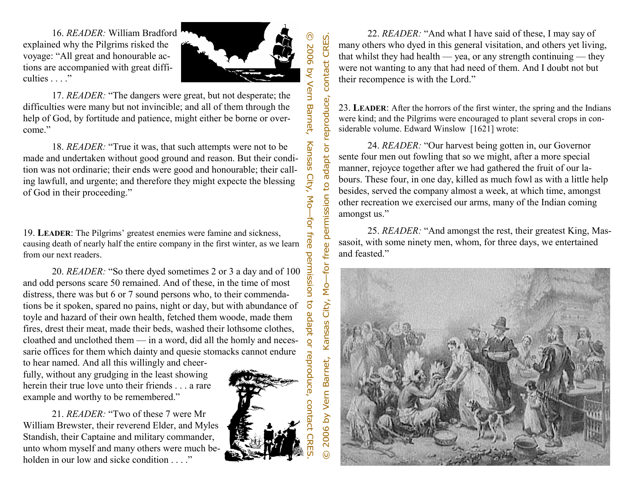

contact CRES.

or reproduce,

**LEADER**: The Pilgrims' greatest enemies were famine and sickness, causing death of nearly half the entire company in the first winter, as we learn from our next readers.

16. REZIDER: William Bradford<br>worse explained why the Pilgrims risked the<br>vorsage. "All great and honourable ac-<br>tulties s...."<br>The damages were great, but not desperate; the<br>diffluently of Grod, by forting that in the in 20. *READER:* "So there dyed sometimes 2 or 3 a day and of 100 and odd persons scare 50 remained. And of these, in the time of most distress, there was but 6 or 7 sound persons who, to their commendations be it spoken, spared no pains, night or day, but with abundance of toyle and hazard of their own health, fetched them woode, made them fires, drest their meat, made their beds, washed their lothsome clothes, cloathed and unclothed them — in a word, did all the homly and necessarie offices for them which dainty and quesie stomacks cannot endure to hear named. And all this willingly and cheer-

fully, without any grudging in the least showing herein their true love unto their friends . . . a rare example and worthy to be remembered."

 21. *READER:* "Two of these 7 were Mr William Brewster, their reverend Elder, and Myles Standish, their Captaine and military commander, unto whom myself and many others were much beholden in our low and sicke condition ....



 22. *READER:* "And what I have said of these, I may say of many others who dyed in this general visitation, and others yet living, that whilst they had health — yea, or any strength continuing — they were not wanting to any that had need of them. And I doubt not but their recompence is with the Lord."

23. **LEADER**: After the horrors of the first winter, the spring and the Indians were kind; and the Pilgrims were encouraged to plant several crops in considerable volume. Edward Winslow [1621] wrote:

 24. *READER:* "Our harvest being gotten in, our Governor sente four men out fowling that so we might, after a more special manner, rejoyce together after we had gathered the fruit of our labours. These four, in one day, killed as much fowl as with a little help besides, served the company almost a week, at which time, amongst other recreation we exercised our arms, many of the Indian coming amongst us."

 25. *READER:* "And amongst the rest, their greatest King, Massasoit, with some ninety men, whom, for three days, we entertained and feasted."

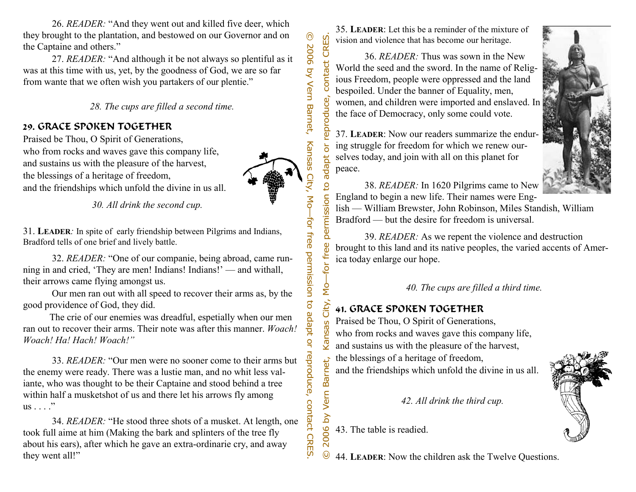26. *READER:* "And they went out and killed five deer, which they brought to the plantation, and bestowed on our Governor and on the Captaine and others."

 27. *READER:* "And although it be not always so plentiful as it was at this time with us, yet, by the goodness of God, we are so far from wante that we often wish you partakers of our plentie."

 *28. The cups are filled a second time.* 

# 29. GRACE SPOKEN TOGETHER

Praised be Thou, O Spirit of Generations, who from rocks and waves gave this company life, and sustains us with the pleasure of the harvest, the blessings of a heritage of freedom, and the friendships which unfold the divine in us all.

*30. All drink the second cup.*

31. **LEADER***:* In spite of early friendship between Pilgrims and Indians, Bradford tells of one brief and lively battle.

 32. *READER:* "One of our companie, being abroad, came running in and cried, 'They are men! Indians! Indians!' — and withall, their arrows came flying amongst us.

 Our men ran out with all speed to recover their arms as, by the good providence of God, they did.

 The crie of our enemies was dreadful, espetially when our men ran out to recover their arms. Their note was after this manner. *Woach! Woach! Ha! Hach! Woach!"* 

 33. *READER:* "Our men were no sooner come to their arms but the enemy were ready. There was a lustie man, and no whit less valiante, who was thought to be their Captaine and stood behind a tree within half a musketshot of us and there let his arrows fly among us . . . ."

 34. *READER:* "He stood three shots of a musket. At length, one took full aime at him (Making the bark and splinters of the tree fly about his ears), after which he gave an extra-ordinarie cry, and away they went all!"

35. **LEADER**: Let this be a reminder of the mixture of vision and violence that has become our heritage.

 36. *READER:* Thus was sown in the New World the seed and the sword. In the name of Religious Freedom, people were oppressed and the land bespoiled. Under the banner of Equality, men, oduce, women, and children were imported and enslaved. In the face of Democracy, only some could vote.

37. **LEADER**: Now our readers summarize the enduring struggle for freedom for which we renew ourselves today, and join with all on this planet for peace.



 38. *READER:* In 1620 Pilgrims came to New England to begin a new life. Their names were Eng-

lish — William Brewster, John Robinson, Miles Standish, William Bradford — but the desire for freedom is universal.

 39. *READER:* As we repent the violence and destruction brought to this land and its native peoples, the varied accents of America today enlarge our hope.

*40. The cups are filled a third time.* 

# City, 41. GRACE SPOKEN TOGETHER

Praised be Thou, O Spirit of Generations, who from rocks and waves gave this company life, and sustains us with the pleasure of the harvest, the blessings of a heritage of freedom, and the friendships which unfold the divine in us all.

 *42. All drink the third cup.* 

2006 by Vern Barnet, 43. The table is readied.



© 2006 by Vern Barnet, Kansas City, Mo—for free permission to adapt or reproduce, contact CRES.  $\odot$ 44. **LEADER**: Now the children ask the Twelve Questions.



CRES.

contact

epr

permission to adapt

Mo-for free

 $\boldsymbol{\omega}$ Kansa

for free permission

to adapt

 $\frac{1}{2}$ 

reproduce, contact CRES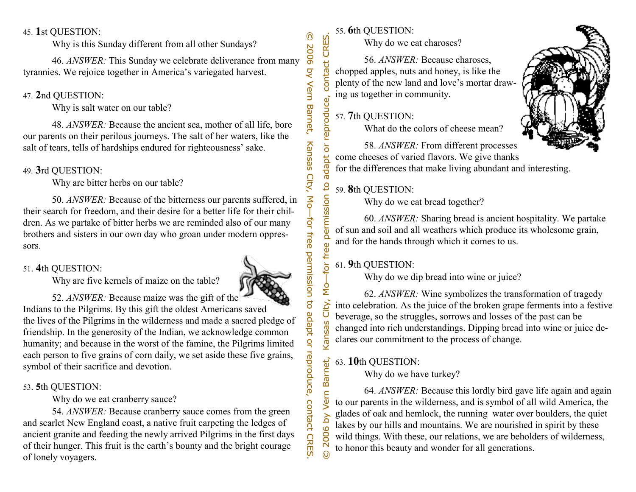# **1**st QUESTION:

Why is this Sunday different from all other Sundays?

 46. *ANSWER:* This Sunday we celebrate deliverance from many tyrannies. We rejoice together in America's variegated harvest.

# 47. **2**nd QUESTION:

Why is salt water on our table?

 48. *ANSWER:* Because the ancient sea, mother of all life, bore our parents on their perilous journeys. The salt of her waters, like the salt of tears, tells of hardships endured for righteousness' sake.

# 49. **3**rd QUESTION:

Why are bitter herbs on our table?

 50. *ANSWER:* Because of the bitterness our parents suffered, in their search for freedom, and their desire for a better life for their children. As we partake of bitter herbs we are reminded also of our many brothers and sisters in our own day who groan under modern oppressors.

# 51. **4**th QUESTION:

Why are five kernels of maize on the table?



45. Ist QUESTION:<br>
Why is this Sunday different from all other Sundays?<br>
46. ANSWER: This Sunday we celebrate deliverance from many  $\frac{56}{9}$ <br>
47. 2nd QUESTION:<br>
Why is salt water on our table?<br>
47. 2nd QUESTION:<br>
Why is 52. *ANSWER:* Because maize was the gift of the Indians to the Pilgrims. By this gift the oldest Americans saved the lives of the Pilgrims in the wilderness and made a sacred pledge of friendship. In the generosity of the Indian, we acknowledge common humanity; and because in the worst of the famine, the Pilgrims limited each person to five grains of corn daily, we set aside these five grains, symbol of their sacrifice and devotion.

# 53. **5**th QUESTION:

Why do we eat cranberry sauce?

 54. *ANSWER:* Because cranberry sauce comes from the green and scarlet New England coast, a native fruit carpeting the ledges of ancient granite and feeding the newly arrived Pilgrims in the first days of their hunger. This fruit is the earth's bounty and the bright courage of lonely voyagers.

# 55. **6**th QUESTION:

CRES.

contact

adapt or

 $\overline{c}$ 

 $\mathbf{v}$ Kansas

 $\overline{\mathsf{S}}$ 

2006

 $\odot$ 

Why do we eat charoses?

 56. *ANSWER:* Because charoses, chopped apples, nuts and honey, is like the plenty of the new land and love's mortar drawing us together in community.

# © 2006 by Vern Barnet, Kansas City, Mo—for free permission to adapt or reproduce, contact CRES. reproduce, 57. **7**th QUESTION:

What do the colors of cheese mean?



 58. *ANSWER:* From different processes come cheeses of varied flavors. We give thanks for the differences that make living abundant and interesting.

# 59. **8**th QUESTION: City, Mo-for free permission

Why do we eat bread together?

 60. *ANSWER:* Sharing bread is ancient hospitality. We partake of sun and soil and all weathers which produce its wholesome grain, and for the hands through which it comes to us.

# 61. **9**th QUESTION:

Why do we dip bread into wine or juice?

 62. *ANSWER:* Wine symbolizes the transformation of tragedy into celebration. As the juice of the broken grape ferments into a festive beverage, so the struggles, sorrows and losses of the past can be changed into rich understandings. Dipping bread into wine or juice declares our commitment to the process of change.

# Vern Barnet, 63. **10**th QUESTION:

Why do we have turkey?

 64. *ANSWER:* Because this lordly bird gave life again and again to our parents in the wilderness, and is symbol of all wild America, the glades of oak and hemlock, the running water over boulders, the quiet lakes by our hills and mountains. We are nourished in spirit by these wild things. With these, our relations, we are beholders of wilderness, to honor this beauty and wonder for all generations.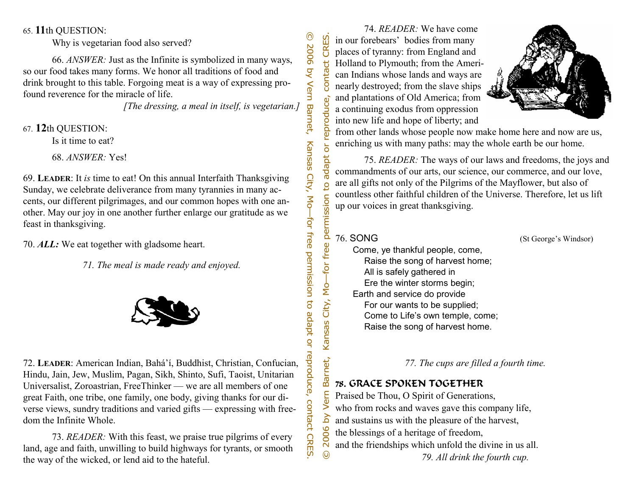**LEADER**: It *is* time to eat! On this annual Interfaith Thanksgiving Sunday, we celebrate deliverance from many tyrannies in many accents, our different pilgrimages, and our common hopes with one another. May our joy in one another further enlarge our gratitude as we feast in thanksgiving.

70. *ALL:* We eat together with gladsome heart.

*71. The meal is made ready and enjoyed.* 



65. This QUESTION:<br>
Why is vegtarian food also served?<br>
66. *ANSWER*: Just as the Infinite is symbolized in many ways,<br>
so our food takes many forms. We honor all traditions of food and<br>
drink brought to this table. Forgo 72. **LEADER**: American Indian, Bahá'í, Buddhist, Christian, Confucian, Hindu, Jain, Jew, Muslim, Pagan, Sikh, Shinto, Sufi, Taoist, Unitarian Universalist, Zoroastrian, FreeThinker — we are all members of one great Faith, one tribe, one family, one body, giving thanks for our diverse views, sundry traditions and varied gifts — expressing with freedom the Infinite Whole.

 73. *READER:* With this feast, we praise true pilgrims of every land, age and faith, unwilling to build highways for tyrants, or smooth the way of the wicked, or lend aid to the hateful.

 74. *READER:* We have come © 2006 by Vern Barnet, Kansas City, Mo—for free permission to adapt or reproduce, contact CRES. CRES. in our forebears' bodies from many places of tyranny: from England and Holland to Plymouth; from the Ameri- $\overline{a}$ conta can Indians whose lands and ways are nearly destroyed; from the slave ships and plantations of Old America; from  $\vec{v}$ reproduc a continuing exodus from oppression into new life and hope of liberty; and



from other lands whose people now make home here and now are us, enriching us with many paths: may the whole earth be our home.

75. *READER:* The ways of our laws and freedoms, the joys and commandments of our arts, our science, our commerce, and our love, are all gifts not only of the Pilgrims of the Mayflower, but also of countless other faithful children of the Universe. Therefore, let us lift up our voices in great thanksgiving.

adapt o

 $\overline{5}$ 

Kansas City, Mo-for free permission

<u>کر</u>

 $\odot$ 

76. SONG (St George's Windsor)

 Come, ye thankful people, come, Raise the song of harvest home; All is safely gathered in Ere the winter storms begin; Earth and service do provide For our wants to be supplied; Come to Life's own temple, come; Raise the song of harvest home.

 *77. The cups are filled a fourth time.* 

# Barnet, 78. GRACE SPOKEN TOGETHER Vern

Praised be Thou, O Spirit of Generations, who from rocks and waves gave this company life,

and sustains us with the pleasure of the harvest,

- 2006 the blessings of a heritage of freedom,
	- and the friendships which unfold the divine in us all.

 *79. All drink the fourth cup.*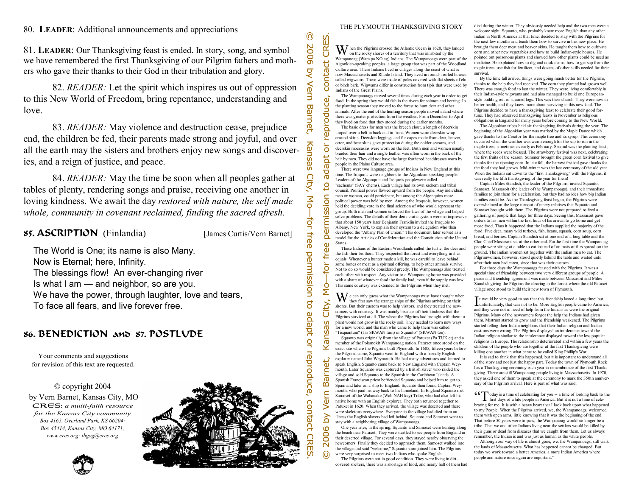# **LEADER**: Additional announcements and appreciations

81. **LEADER**: Our Thanksgiving feast is ended. In story, song, and symbol we have remembered the first Thanksgiving of our Pilgrim fathers and mothers who gave their thanks to their God in their tribulation and glory.

 82. *READER:* Let the spirit which inspires us out of oppression to this New World of Freedom, bring repentance, understanding and love.

 83. *READER:* May violence and destruction cease, prejudice end, the children be fed, their parents made strong and joyful, and over all the earth may the sisters and brothers enjoy new songs and discoveries, and a reign of justice, and peace.

 84. *READER:* May the time be soon when all peoples gather at tables of plenty, rendering songs and praise, receiving one another in loving kindness. We await the day *restored with nature, the self made whole, community in covenant reclaimed, finding the sacred afresh.* 

# 85. ASCRIPTION (Finlandia) [James Curtis/Vern Barnet]

 The World is One; its name is also Many. Now is Eternal; here, Infinity. The blessings flow! An ever-changing river Is what I am — and neighbor, so are you. We have the power, through laughter, love and tears, To face all fears, and live forever free.

# 86. BENEDICTION and 87. POSTLUDE

Your comments and suggestions for revision of this text are requested.

© copyright 2004 by Vern Barnet, Kansas City, MO CRES: *a multi-faith resource for the Kansas City community Box 4165, Overland Park, KS 66204; Box 45414, Kansas City, MO 64171; www.cres.org; thgvg@cres.org*



### THE PLYMOUTH THANKSGIVING STORY

 $\bf W$  hen the Pilgrims crossed the Atlantic Ocean in 1620, they landed on the rocky shores of a territory that was inhabited by the Wampanoag (Wam pa NO ag) Indians. The Wampanoags were part of the  $\overline{a}$ Algonkian-speaking peoples, a large group that was part of the Woodland Culture area. These Indians lived in villages along the coast of what is ΣG now Massachusetts and Rhode Island. They lived in round- roofed houses called wigwams. These were made of poles covered with flat sheets of elm or birch bark. Wigwams differ in construction from tipis that were used by Indians of the Great Plains.

CRES.

 $\vec{v}$ 

Ъo

ō

 $\bar{\mathbf{\sigma}}$ 

Σ.

ō

 The Wampanoags moved several times during each year in order to get food. In the spring they would fish in the rivers for salmon and herring. In the planting season they moved to the forest to hunt deer and other animals. After the end of the hunting season people moved inland where there was greater protection from the weather. From December to April they lived on food that they stored during the earlier months.

 The basic dress for men was the breech clout, a length of deerskin  $\Omega$ looped over a belt in back and in front. Women wore deerskin wraparound skirts. Deerskin leggings and fur capes made from deer, beaver, otter, and bear skins gave protection during the colder seasons, and deerskin moccasins were worn on the feet. Both men and women usually braided their hair and a single feather was often worn in the back of the apt hair by men. They did not have the large feathered headdresses worn by people in the Plains Culture area.

 There were two language groups of Indians in New England at this time. The Iroquois were neighbors to the Algonkian-speaking people. Leaders of the Algonquin and Iroquois peoplewere called

 $\mathbf{S}$ "sachems" (SAY chems). Each village had its own sachem and tribal council. Political power flowed upward from the people. Any individual,  $\Box$ man or woman, could participate, but among the Algonquins more <u>ō</u> political power was held by men. Among the Iroquois, however, women held the deciding vote in the final selection of who would represent the  $\overline{\text{ss}}$ group. Both men and women enforced the laws of the village and helped solve problems. The details of their democratic system were so impressive Ē. that about 150 years later Benjamin Franklin invited the Iroquois to per Albany, New York, to explain their system to a delegation who then developed the "Albany Plan of Union." This document later served as a model for the Articles of Confederation and the Constitution of the United **States**  $\mathbf{a}$ 

 These Indians of the Eastern Woodlands called the turtle, the deer and the fish their brothers. They respected the forest and everything in it as equals. Whenever a hunter made a kill, he was careful to leave behind some bones or meat as a spiritual offering, to help other animals survive. Not to do so would be considered greedy. The Wampanoags also treated each other with respect. Any visitor to a Wampanoag home was provided with a share of whatever food the family had, even if the supply was low. This same courtesy was extended to the Pilgrims when they met.

 $\mathbf{W}$  e can only guess what the Wampanoags must have thought when they first saw the strange ships of the Pilgrims arriving on their shores. But their custom was to help visitors, and they treated the newcomers with courtesy. It was mainly because of their kindness that the Pilgrims survived at all. The wheat the Pilgrims had brought with them to plant would not grow in the rocky soil. They needed to learn new ways for a new world, and the man who came to help them was called "Tisquantum" (Tis SKWAN tum) or Squanto" (SKWAN toe).

 Squanto was originally from the village of Patuxet (Pa TUK et) and a member of the Pokanokit Wampanoag nation. Patuxet once stood on the exact site where the Pilgrims built Plymouth. In 1605, fifteen years before

© 2006 by Vern Barnet, Kansas City, Mo—for free permission to adapt or reproduce, contact CRES. the Pilgrims came, Squanto went to England with a friendly English explorer named John Weymouth. He had many adventures and learned to speak English. Squanto came back to New England with Captain Weymouth. Later Squanto was captured by a British slaver who raided the village and sold Squanto to the Spanish in the Caribbean Islands. A Spanish Franciscan priest befriended Squanto and helped him to get to Spain and later on a ship to England. Squanto then found Captain Weymouth, who paid his way back to his homeland. In England Squanto met  $\subset$ Samoset of the Wabanake (Wab NAH key) Tribe, who had also left his native home with an English explorer. They both returned together to Patuxet in 1620. When they arrived, the village was deserted and there ⋝ were skeletons everywhere. Everyone in the village had died from an <u>کر</u> illness the English slavers had left behind. Squanto and Samoset went to stay with a neighboring village of Wampanoags.

 One year later, in the spring, Squanto and Samoset were hunting along 9 the beach near Patuxet. They were startled to see people from England in  $\bar{8}$ their deserted village. For several days, they stayed nearby observing the newcomers. Finally they decided to approach them. Samoset walked into  $\overline{\mathsf{N}}$ the village and said "welcome," Squanto soon joined him. The Pilgrims ⋒ were very surprised to meet two Indians who spoke English.

 The Pilgrims were not in good condition. They were living in dirtcovered shelters, there was a shortage of food, and nearly half of them had died during the winter. They obviously needed help and the two men were a welcome sight. Squanto, who probably knew more English than any other Indian in North America at that time, decided to stay with the Pilgrims for the next few months and teach them how to survive in this new place. He brought them deer meat and beaver skins. He taught them how to cultivate corn and other new vegetables and how to build Indian-style houses. He pointed out poisonous plants and showed how other plants could be used as medicine. He explained how to dig and cook clams, how to get sap from the maple trees, use fish for fertilizer, and dozens of other skills needed for their survival.

 By the time fall arrived things were going much better for the Pilgrims, thanks to the help they had received. The corn they planted had grown well. There was enough food to last the winter. They were living comfortably in their Indian-style wigwams and had also managed to build one Europeanstyle building out of squared logs. This was their church. They were now in better health, and they knew more about surviving in this new land. The Pilgrims decided to have a thanksgiving feast to celebrate their good fortune. They had observed thanksgiving feasts in November as religious obligations in England for many years before coming to the New World.

 The Algonkian tribes held six thanksgiving festivals during the year. The beginning of the Algonkian year was marked by the Maple Dance which gave thanks to the Creator for the maple tree and its syrup. This ceremony occurred when the weather was warm enough for the sap to run in the maple trees, sometimes as early as February. Second was the planting feast where the seeds were blessed. The strawberry festival was next, celebrating the first fruits of the season. Summer brought the green corn festival to give thanks for the ripening corn. In late fall, the harvest festival gave thanks for the food they had grown. Mid-winter was the last ceremony of the old year. When the Indians sat down to the "first Thanksgiving" with the Pilgrims, it was really the fifth thanksgiving of the year for them!

 Captain Miles Standish, the leader of the Pilgrims, invited Squanto, Samoset, Massasoit (the leader of the Wampanoags), and their immediate families to join them for a celebration, but they had no idea how big Indian families could be. As the Thanksgiving feast began, the Pilgrims were overwhelmed at the large turnout of ninety relatives that Squanto and Samoset brought with them. The Pilgrims were not prepared to feed a gathering of people that large for three days. Seeing this, Massasoit gave orders to his men within the first hour of his arrival to go home and get more food. Thus it happened that the Indians supplied the majority of the food: Five deer, many wild turkeys, fish, beans, squash, corn soup, corn bread, and berries. Captain Standish sat at one end of a long table and the Clan Chief Massasoit sat at the other end. Forthe first time the Wampanoag people were sitting at a table to eat instead of on mats or furs spread on the ground. The Indian women sat together with the Indian men to eat. The Pilgrimwomen, however, stood quietly behind the table and waited until after their men had eaten, since that was their custom.

 For three days the Wampanoags feasted with the Pilgrims. It was a special time of friendship between two very different groups of people. A peace and friendship agreement was made between Massasoit and Miles Standish giving the Pilgrims the clearing in the forest where the old Patuxet village once stood to build their new town of Plymouth.

I t would be very good to say that this friendship lasted a long time; but, unfortunately, that was not to be. More English people came to America, and they were not in need of help from the Indians as were the original Pilgrims. Many of the newcomers forgot the help the Indians had given them. Mistrust started to grow and the friendship weakened. The Pilgrims started telling their Indian neighbors that their Indian religion and Indian customs were wrong. The Pilgrims displayed an intolerance toward the Indian religion similar to the intolerance displayed toward the less popular religions in Europe. The relationship deteriorated and within a few years the children of the people who ate together at the first Thanksgiving were killing one another in what came to be called King Phillip's War.

 It is sad to think that this happened, but it is important to understand all of the story and not just the happy part. Today the town of Plymouth Rock has a Thanksgiving ceremony each year in remembrance of the first Thanksgiving. There are still Wampanoag people living in Massachusetts. In 1970, they asked one of them to speak at the ceremony to mark the 350th anniversary of the Pilgrim's arrival. Here is part of what was said:

 $\mathsf{C}\mathsf{C}\mathsf{T}$  oday is a time of celebrating for you -- a time of looking back to the first days of white people in America. But it is not a time of cele-

brating for me. It is with a heavy heart that I look back upon what happened to my People. When the Pilgrims arrived, we, the Wampanoags, welcomed them with open arms, little knowing that it was the beginning of the end. That before 50 years were to pass, the Wampanoag would no longer be a tribe. That we and other Indians living near the settlers would be killed by their guns or dead from diseases that we caught from them. Let us always remember, the Indian is and was just as human as the white people.

 Although our way of life is almost gone, we, the Wampanoags, still walk the lands of Massachusetts. What has happened cannot be changed. But today we work toward a better America, a more Indian America where people and nature once again are important."

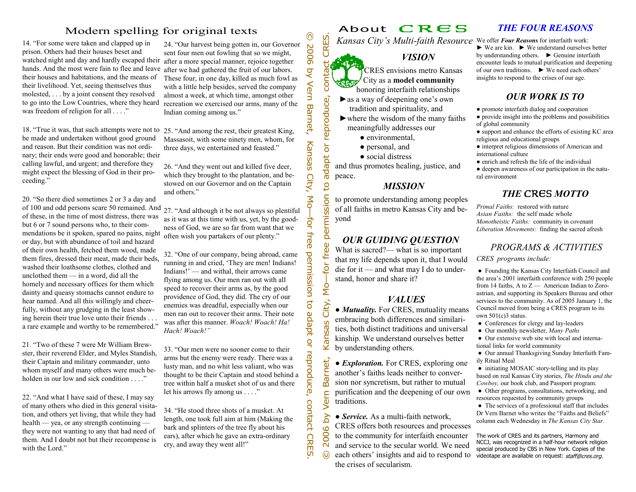In the case of the state of the case of the case of the case of the state of the state of the state of the state of the state of the state of the state of the state of the state of the state of the state of the state of t

- ► as a way of deepening one's own tradition and spirituality, and
- $\blacktriangleright$  where the wisdom of the many faiths meaningfully addresses our
	- environmental,
	- personal, and
	- social distress

and thus promotes healing, justice, and peace.

### *MISSION*

to promote understanding among peoples of all faiths in metro Kansas City and beyond

# *OUR GUIDING QUESTION*

What is sacred?— what is so important that my life depends upon it, that I would die for it — and what may I do to understand, honor and share it?

# *VALUES*

● *Mutuality.* For CRES, mutuality means embracing both differences and similarities, both distinct traditions and universal kinship. We understand ourselves better by understanding others.

● *Exploration.* For CRES, exploring one another's faiths leads neither to conversion nor syncretism, but rather to mutual purification and the deepening of our own traditions.

© 2006 by Vern Barnet, Kansas City, Mo—for free permission to adapt or reproduce, contact CRES. • *Service*. As a multi-faith network, CRES offers both resources and processes to the community for interfaith encounter and service to the secular world. We need each others' insights and aid to respond to the crises of secularism.

# *THE FOUR REASONS*

We offer *Four Reasons* for interfaith work:

► We are kin. ► We understand ourselves better by understanding others. ► Genuine interfaith encounter leads to mutual purification and deepening of our own traditions. ► We need each others' insights to respond to the crises of our age.

# *OUR WORK IS TO*

● promote interfaith dialog and cooperation

● provide insight into the problems and possibilities of global community

● support and enhance the efforts of existing KC area religious and educational groups

● interpret religious dimensions of American and international culture

● enrich and refresh the life of the individual

● deepen awareness of our participation in the natural environment

# *THE* CRES *MOTTO*

*Primal Faiths:* restored with nature*Asian Faiths:* the self made whole*Monotheistic Faiths:* community in covenant *Liberation Movements:* finding the sacred afresh

# *PROGRAMS & ACTIVITIES*

*CRES programs include:* 

● Founding the Kansas City Interfaith Council and the area's 2001 interfaith conference with 250 people from 14 faiths, A to  $Z$  — American Indian to Zoroastrian, and supporting its Speakers Bureau and other services to the community. As of 2005 January 1, the Council moved from being a CRES program to its own 501(c)3 status.

- Conferences for clergy and lay-leaders
- Our monthly newsletter, *Many Paths*

● Our extensive web site with local and international links for world community

● Our annual Thanksgiving Sunday Interfaith Family Ritual Meal

● initiating MOSAIC story-telling and its play based on real Kansas City stories, *The Hindu and the Cowboy,* our book club, and Passport program.

● Other programs, consultations, networking, and resources requested by community groups

● The services of a professional staff that includes Dr Vern Barnet who writes the "Faiths and Beliefs" column each Wednesday in *The Kansas City Star.*

The work of CRES and its partners, Harmony and NCCJ, was recognized in a half-hour network religion special produced by CBS in New York. Copies of the videotape are available on request: staff@cres.org.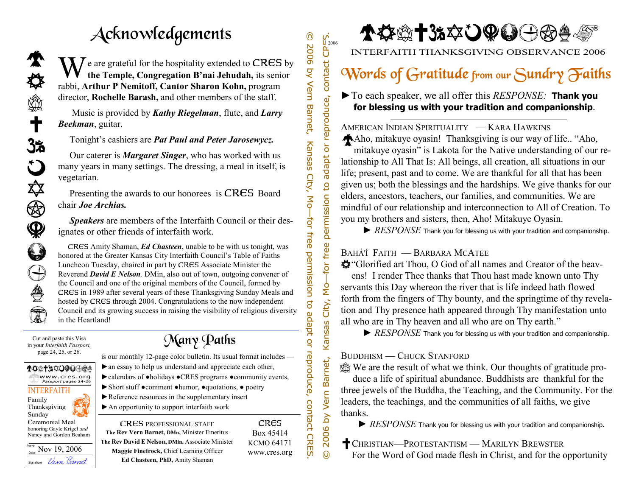# Acknowledgements

We are grateful for the hospitality extended to CRES by the Temple, Congregation B'nai Jehudah, its senior rabbi, **Arthur P Nemitoff, Cantor Sharon Kohn,** program director, **Rochelle Barash,** and other members of the staff.

 Music is provided by *Kathy Riegelman*, flute, and *Larry Beekman*, guitar.

Tonight's cashiers are *Pat Paul and Peter Jarosewycz.* 

Our caterer is *Margaret Singer*, who has worked with us many years in many settings. The dressing, a meal in itself, is vegetarian.

 Presenting the awards to our honorees is CRES Board chair *Joe Archias.*

*Speakers* are members of the Interfaith Council or their designates or other friends of interfaith work.

**CKNOWLEGES CHE SET (2006)** Contact CHEC S by<br>
Temple, Congregation B nai Jehudah, its senior<br>
or P Nemitoff, Cantor Sharon Kohn, program<br>
provided by *Kathy Riegelman*, flute, and *Larry*<br>
strongled by *Kathy Riegelman*, CRES Amity Shaman, *Ed Chasteen*, unable to be with us tonight, was honored at the Greater Kansas City Interfaith Council's Table of Faiths Luncheon Tuesday, chaired in part by CRES Associate Minister the Reverend *David E Nelson,* DMin, also out of town, outgoing convener of the Council and one of the original members of the Council, formed by CRES in 1989 after several years of these Thanksgiving Sunday Meals and hosted by CRES through 2004. Congratulations to the now independent Council and its growing success in raising the visibility of religious diversity in the Heartland!

Cut and paste this Visa in your *Interfaith Passport,* page 24, 25, or 26.

₩

 $\mathbf t$ 

ನಿಸ

ڷ

X)

❀

 $\mathbf{\mathcal{Q}}$ 

 $\bigoplus$ 

ë

T



►an essay to help us understand and appreciate each other, ►calendars of ●holidays ●CRES programs ●community events, ►Short stuff ●comment ●humor, ●quotations, ● poetry ►Reference resources in the supplementary insert ►An opportunity to support interfaith work CRES PROFESSIONAL STAFF **The Rev Vern Barnet, DMn,** Minister Emeritus CRES Box 45414

**The Rev DavidE Nelson, DMin,** Associate Minister **Maggie Finefrock,** Chief Learning Officer **Ed Chasteen, PhD,** Amity Shaman

KCMO 64171 www.cres.org © 2006 by Vern Barnet, Kansas City, Mo—for free permission to adapt or reproduce, contact CRES.

Kansas City, Mo-for free

2006 by Vern Barnet,

 $\odot$ 

permission to

 $\begin{array}{l} \n\overline{C} \\
\overline{C} \\
\overline{C}\n\end{array}$ 

or reproduce, contact

adapt

**↑☆☆十3å☆ひの〇〇☆☆** 

INTERFAITH THANKSGIVING OBSERVANCE 2006

# Words of Gratitude from our Sundry Faiths

►To each speaker, we all offer this *RESPONSE:* **Thank you for blessing us with your tradition and companionship**.

AMERICAN INDIAN SPIRITUALITY — KARA HAWKINS Aho, mitakuye oyasin! Thanksgiving is our way of life.. "Aho, mitakuye oyasin" is Lakota for the Native understanding of our relationship to All That Is: All beings, all creation, all situations in our life; present, past and to come. We are thankful for all that has been given us; both the blessings and the hardships. We give thanks for our elders, ancestors, teachers, our families, and communities. We are mindful of our relationship and interconnection to All of Creation. To you my brothers and sisters, then, Aho! Mitakuye Oyasin.

► *RESPONSE* Thank you for blessing us with your tradition and companionship.

# BAHÁ'Í FAITH — BARBARA MCATEE

"Glorified art Thou, O God of all names and Creator of the heavens! I render Thee thanks that Thou hast made known unto Thy servants this Day whereon the river that is life indeed hath flowed forth from the fingers of Thy bounty, and the springtime of thy revelation and Thy presence hath appeared through Thy manifestation unto all who are in Thy heaven and all who are on Thy earth."

► *RESPONSE* Thank you for blessing us with your tradition and companionship.

# BUDDHISM — CHUCK STANFORD

We are the result of what we think. Our thoughts of gratitude pro-

duce a life of spiritual abundance. Buddhists are thankful for the three jewels of the Buddha, the Teaching, and the Community. For the leaders, the teachings, and the communities of all faiths, we give thanks.

► *RESPONSE* Thank you for blessing us with your tradition and companionship.

CHRISTIAN—PROTESTANTISM — MARILYN BREWSTER For the Word of God made flesh in Christ, and for the opportunity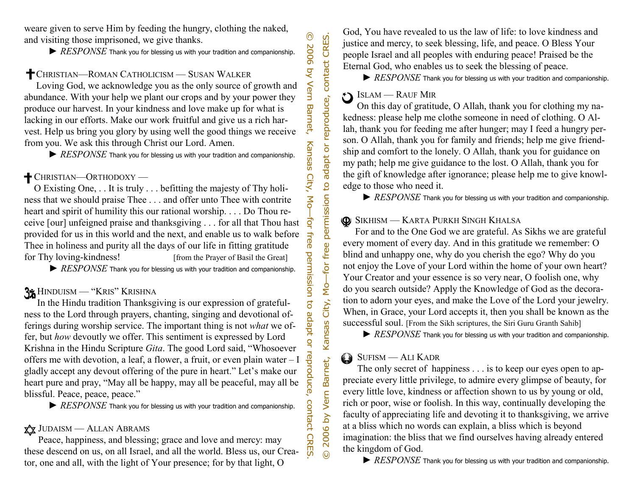► *RESPONSE* Thank you for blessing us with your tradition and companionship.

# CHRISTIAN—ROMAN CATHOLICISM — SUSAN WALKER

Loving God, we acknowledge you as the only source of growth and abundance. With your help we plant our crops and by your power they produce our harvest. In your kindness and love make up for what is lacking in our efforts. Make our work fruitful and give us a rich harvest. Help us bring you glory by using well the good things we receive from you. We ask this through Christ our Lord. Amen.

► *RESPONSE* Thank you for blessing us with your tradition and companionship.

# CHRISTIAN—ORTHODOXY —

O Existing One, . . It is truly . . . befitting the majesty of Thy holiness that we should praise Thee . . . and offer unto Thee with contrite heart and spirit of humility this our rational worship. . . . Do Thou receive [our] unfeigned praise and thanksgiving . . . for all that Thou hast provided for us in this world and the next, and enable us to walk before Thee in holiness and purity all the days of our life in fitting gratitude for Thy loving-kindness! [from the Prayer of Basil the Great]

► *RESPONSE* Thank you for blessing us with your tradition and companionship.

# HINDUISM — "KRIS" KRISHNA

were given to serve Him by (Feeding the hungry, clothing the naked,<br>  $\blacktriangleright$  *RESPONSE* Thank you for theseing as with your tradition and companionship.<br>  $\blacktriangleright$  *RESPONSE* Thank you for theseing as whit your replace of g In the Hindu tradition Thanksgiving is our expression of gratefulness to the Lord through prayers, chanting, singing and devotional offerings during worship service. The important thing is not *what* we offer, but *how* devoutly we offer. This sentiment is expressed by Lord Krishna in the Hindu Scripture *Gita*. The good Lord said, "Whosoever offers me with devotion, a leaf, a flower, a fruit, or even plain water – I gladly accept any devout offering of the pure in heart." Let's make our heart pure and pray, "May all be happy, may all be peaceful, may all be blissful. Peace, peace, peace."

► *RESPONSE* Thank you for blessing us with your tradition and companionship.

# JUDAISM — ALLAN ABRAMS

Peace, happiness, and blessing; grace and love and mercy: may these descend on us, on all Israel, and all the world. Bless us, our Creator, one and all, with the light of Your presence; for by that light, O

God, You have revealed to us the law of life: to love kindness and justice and mercy, to seek blessing, life, and peace. O Bless Your people Israel and all peoples with enduring peace! Praised be the Eternal God, who enables us to seek the blessing of peace.

► *RESPONSE* Thank you for blessing us with your tradition and companionship.

# ISLAM — RAUF MIR

On this day of gratitude, O Allah, thank you for clothing my nakedness: please help me clothe someone in need of clothing. O Allah, thank you for feeding me after hunger; may I feed a hungry person. O Allah, thank you for family and friends; help me give friendship and comfort to the lonely. O Allah, thank you for guidance on my path; help me give guidance to the lost. O Allah, thank you for the gift of knowledge after ignorance; please help me to give knowledge to those who need it.

► *RESPONSE* Thank you for blessing us with your tradition and companionship.

# SIKHISM — KARTA PURKH SINGH KHALSA

For and to the One God we are grateful. As Sikhs we are grateful every moment of every day. And in this gratitude we remember: O blind and unhappy one, why do you cherish the ego? Why do you not enjoy the Love of your Lord within the home of your own heart? Your Creator and your essence is so very near, O foolish one, why do you search outside? Apply the Knowledge of God as the decoration to adorn your eyes, and make the Love of the Lord your jewelry. When, in Grace, your Lord accepts it, then you shall be known as the successful soul. [From the Sikh scriptures, the Siri Guru Granth Sahib]

► *RESPONSE* Thank you for blessing us with your tradition and companionship.

# SUFISM — ALI KADR

© 2006 by Vern Barnet, Kansas City, Mo—for free permission to adapt or reproduce, contact CRES.

Kansas City, Mo-for free

2006 by Vern Barnet,

 $\odot$ 

permission to adapt or reproduce, contact CRES.

The only secret of happiness . . . is to keep our eyes open to appreciate every little privilege, to admire every glimpse of beauty, for every little love, kindness or affection shown to us by young or old, rich or poor, wise or foolish. In this way, continually developing the faculty of appreciating life and devoting it to thanksgiving, we arrive at a bliss which no words can explain, a bliss which is beyond imagination: the bliss that we find ourselves having already entered the kingdom of God.

► *RESPONSE* Thank you for blessing us with your tradition and companionship.